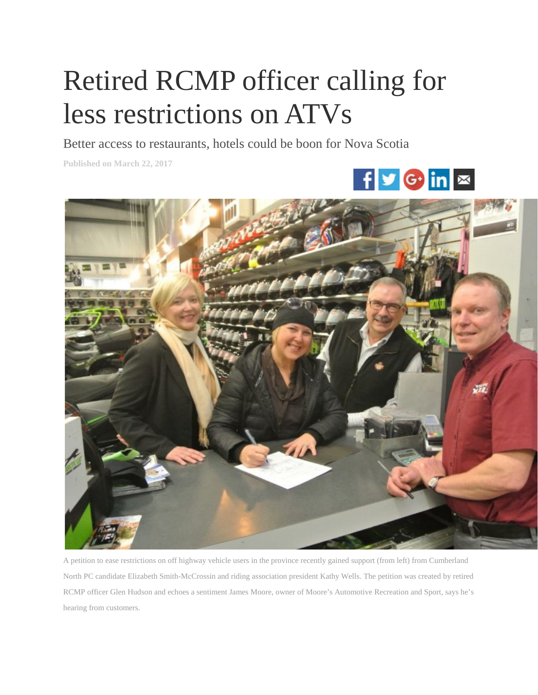## Retired RCMP officer calling for less restrictions on ATVs

Better access to restaurants, hotels could be boon for Nova Scotia

**Published on March 22, 2017**





A petition to ease restrictions on off highway vehicle users in the province recently gained support (from left) from Cumberland North PC candidate Elizabeth Smith-McCrossin and riding association president Kathy Wells. The petition was created by retired RCMP officer Glen Hudson and echoes a sentiment James Moore, owner of Moore's Automotive Recreation and Sport, says he's hearing from customers.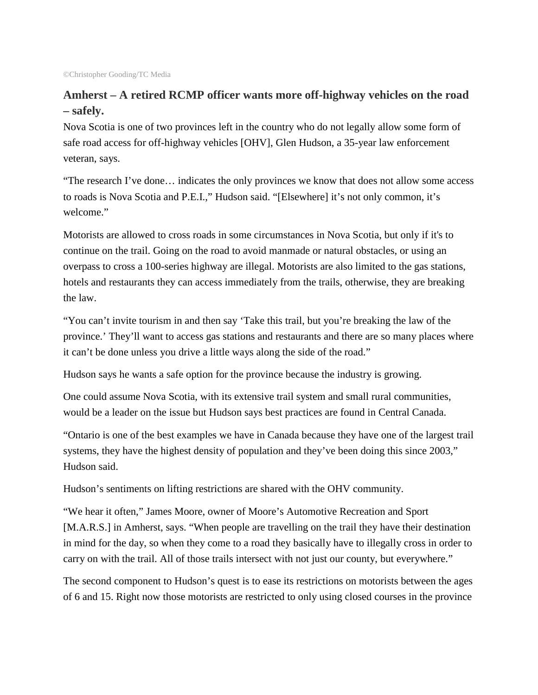## **Amherst – A retired RCMP officer wants more off-highway vehicles on the road – safely.**

Nova Scotia is one of two provinces left in the country who do not legally allow some form of safe road access for off-highway vehicles [OHV], Glen Hudson, a 35-year law enforcement veteran, says.

"The research I've done… indicates the only provinces we know that does not allow some access to roads is Nova Scotia and P.E.I.," Hudson said. "[Elsewhere] it's not only common, it's welcome."

Motorists are allowed to cross roads in some circumstances in Nova Scotia, but only if it's to continue on the trail. Going on the road to avoid manmade or natural obstacles, or using an overpass to cross a 100-series highway are illegal. Motorists are also limited to the gas stations, hotels and restaurants they can access immediately from the trails, otherwise, they are breaking the law.

"You can't invite tourism in and then say 'Take this trail, but you're breaking the law of the province.' They'll want to access gas stations and restaurants and there are so many places where it can't be done unless you drive a little ways along the side of the road."

Hudson says he wants a safe option for the province because the industry is growing.

One could assume Nova Scotia, with its extensive trail system and small rural communities, would be a leader on the issue but Hudson says best practices are found in Central Canada.

"Ontario is one of the best examples we have in Canada because they have one of the largest trail systems, they have the highest density of population and they've been doing this since 2003," Hudson said.

Hudson's sentiments on lifting restrictions are shared with the OHV community.

"We hear it often," James Moore, owner of Moore's Automotive Recreation and Sport [M.A.R.S.] in Amherst, says. "When people are travelling on the trail they have their destination in mind for the day, so when they come to a road they basically have to illegally cross in order to carry on with the trail. All of those trails intersect with not just our county, but everywhere."

The second component to Hudson's quest is to ease its restrictions on motorists between the ages of 6 and 15. Right now those motorists are restricted to only using closed courses in the province